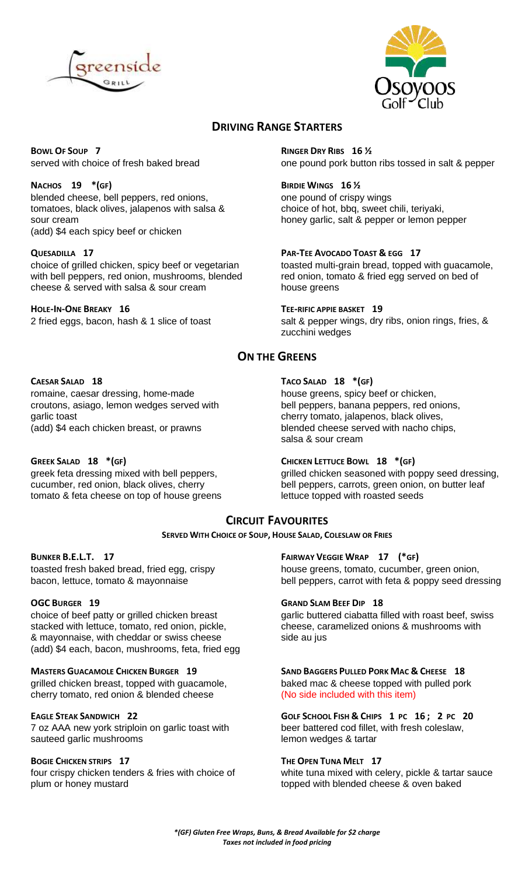



# **DRIVING RANGE STARTERS**

**BOWL OF SOUP 7 RINGER DRY RIBS 16 ½**

blended cheese, bell peppers, red onions, one pound of crispy wings tomatoes, black olives, jalapenos with salsa & choice of hot, bbq, sweet chili, teriyaki, sour cream **honey garlic, salt & pepper or lemon pepper** (add) \$4 each spicy beef or chicken

**QUESADILLA 17 PAR-TEE AVOCADO TOAST & EGG 17** with bell peppers, red onion, mushrooms, blended red onion, tom<br>cheese & served with salsa & sour cream house greens cheese  $&$  served with salsa  $&$  sour cream

**HOLE-IN-ONE BREAKY 16 TEE-RIFIC APPIE BASKET 19**

served with choice of fresh baked bread **one pound pork button ribs tossed in salt & pepper** 

### **NACHOS 19 \*(GF) BIRDIE WINGS 16 ½**

toasted multi-grain bread, topped with guacamole, red onion, tomato & fried egg served on bed of

2 fried eggs, bacon, hash & 1 slice of toast salt & pepper wings, dry ribs, onion rings, fries, & zucchini wedges

# **ON THE GREENS**

romaine, caesar dressing, home-made house greens, spicy beef or chicken, croutons, asiago, lemon wedges served with bell peppers, banana peppers, red onions, garlic toast cherry tomato, jalapenos, black olives, (add) \$4 each chicken breast, or prawns blended cheese served with nacho chips,

**GREEK SALAD 18 \*(GF) CHICKEN LETTUCE BOWL 18 \*(GF)** tomato & feta cheese on top of house greens lettuce topped with roasted seeds

## **CAESAR SALAD 18 TACO SALAD 18 \*(GF)**

salsa & sour cream

greek feta dressing mixed with bell peppers, grilled chicken seasoned with poppy seed dressing, cucumber, red onion, black olives, cherry bell peppers, carrots, green onion, on butter leaf

## **CIRCUIT FAVOURITES**

**SERVED WITH CHOICE OF SOUP, HOUSE SALAD, COLESLAW OR FRIES**

stacked with lettuce, tomato, red onion, pickle, cheese, caramelized onions & mushrooms with & mayonnaise, with cheddar or swiss cheese side au jus (add) \$4 each, bacon, mushrooms, feta, fried egg

grilled chicken breast, topped with guacamole, baked mac & cheese topped with pulled pork cherry tomato, red onion & blended cheese (No side included with this item)

7 oz AAA new york striploin on garlic toast with beer battered cod fillet,<br>sauteed garlic mushrooms batter coless a tartar sauteed garlic mushrooms

plum or honey mustard **the example of the contract of the topped with blended cheese & oven baked** 

### **BUNKER B.E.L.T. 17 FAIRWAY VEGGIE WRAP 17 (\*GF)**

toasted fresh baked bread, fried egg, crispy house greens, tomato, cucumber, green onion, bacon, lettuce, tomato & mayonnaise bell peppers, carrot with feta & poppy seed dressing

### **OGC BURGER 19 GRAND SLAM BEEF DIP 18**

choice of beef patty or grilled chicken breast garlic buttered ciabatta filled with roast beef, swiss

# **MASTERS GUACAMOLE CHICKEN BURGER 19 SAND BAGGERS PULLED PORK MAC & CHEESE 18**

EAGLE STEAK SANDWICH 22 **GOLF SCHOOL FISH & CHIPS 1 PC 16; 2 PC 20**<br>7 oz AAA new york striploin on garlic toast with beer battered cod fillet, with fresh coleslaw,

### **BOGIE CHICKEN STRIPS 17 THE OPEN TUNA MELT 17**

four crispy chicken tenders & fries with choice of white tuna mixed with celery, pickle & tartar sauce